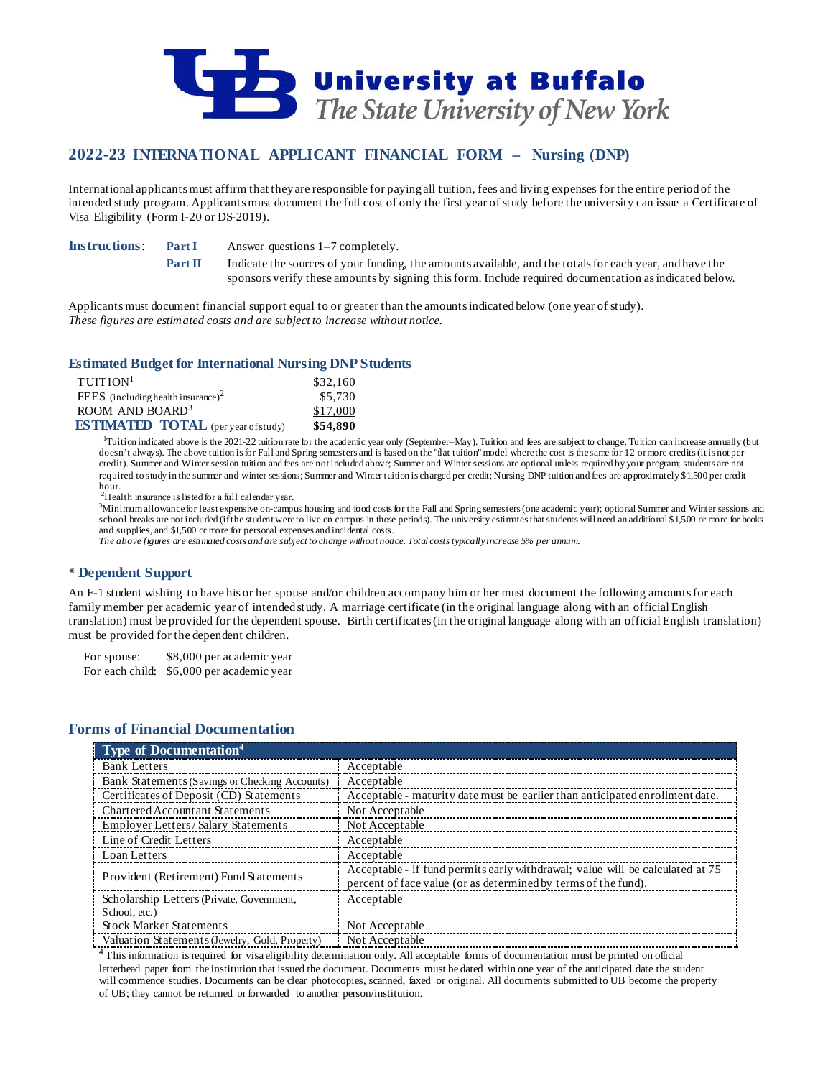

# **2022-23 INTERNATIONAL APPLICANT FINANCIAL FORM – Nursing (DNP)**

International applicants must affirm that they are responsible for paying all tuition, fees and living expenses for the entire period of the intended study program. Applicants must document the full cost of only the first year of study before the university can issue a Certificate of Visa Eligibility (Form I-20 or DS-2019).

**Instructions: Part I** Answer questions 1–7 completely.

**Part II** Indicate the sources of your funding, the amounts available, and the totals for each year, and have the sponsors verify these amounts by signing this form. Include required documentation as indicated below.

Applicants must document financial support equal to or greater than the amounts indicated below (one year of study). *These figures are estimated costs and are subject to increase without notice.*

## **Estimated Budget for International Nursing DNP Students**

| $T$ UITION <sup>1</sup>                        | \$32,160 |
|------------------------------------------------|----------|
| FEES (including health insurance) <sup>2</sup> | \$5,730  |
| ROOM AND BOARD <sup>3</sup>                    | \$17,000 |
| <b>ESTIMATED TOTAL</b> (per year of study)     | \$54.890 |

<sup>1</sup>Tuition indicated above is the 2021-22 tuition rate for the academic year only (September–May). Tuition and fees are subject to change. Tuition can increase annually (but doesn't always). The above tuition is for Fall and Spring semesters and is based on the "flat tuition" model where the cost is the same for 12 or more credits (it is not per credit). Summer and Winter session tuition and fees are not included above; Summer and Winter sessions are optional unless required by your program; students are not required to study in the summer and winter sessions; Summer and Winter tuition is charged per credit; Nursing DNP tuition and fees are approximately \$1,500 per credit hour.

<sup>2</sup>Health insurance is listed for a full calendar year.

Minimum allowance for least expensive on-campus housing and food costs for the Fall and Spring semesters (one academic year); optional Summer and Winter sessions and school breaks are not included (if the student were to live on campus in those periods). The university estimates that students will need an additional \$1,500 or more for books and supplies, and \$1,500 or more for personal expenses and incidental costs.

*The above figures are estimated costs and are subject to change without notice. Total costs typically increase 5% per annum.*

### **Dependent Support**

An F-1 student wishing to have his or her spouse and/or children accompany him or her must document the following amounts for each family member per academic year of intended study. A marriage certificate (in the original language along with an official English translation) must be provided for the dependent spouse. Birth certificates (in the original language along with an official English translation) must be provided for the dependent children.

For spouse: \$8,000 per academic year For each child: \$6,000 per academic year

## **Forms of Financial Documentation**

| <b>Type of Documentation4</b>                  |                                                                               |
|------------------------------------------------|-------------------------------------------------------------------------------|
| <b>Bank Letters</b>                            | Acceptable                                                                    |
| Bank Statements (Savings or Checking Accounts) | Acceptable                                                                    |
| Certificates of Deposit (CD) Statements        | Acceptable - maturity date must be earlier than anticipated enrollment date.  |
| <b>Chartered Accountant Statements</b>         | Not Acceptable                                                                |
| <b>Employer Letters/Salary Statements</b>      | Not Acceptable                                                                |
| Line of Credit Letters                         | Acceptable                                                                    |
| Loan Letters                                   | Acceptable                                                                    |
| Provident (Retirement) Fund Statements         | Acceptable - if fund permits early withdrawal; value will be calculated at 75 |
| Scholarship Letters (Private, Government,      | percent of face value (or as determined by terms of the fund).<br>Acceptable  |
| School, etc.)                                  |                                                                               |
| <b>Stock Market Statements</b>                 | Not Acceptable                                                                |
| Valuation Statements (Jewelry, Gold, Property) | Not Acceptable                                                                |

4 This information is required for visa eligibility determination only. All acceptable forms of documentation must be printed on official letterhead paper from the institution that issued the document. Documents must be dated within one year of the anticipated date the student will commence studies. Documents can be clear photocopies, scanned, faxed or original. All documents submitted to UB become the property of UB; they cannot be returned or forwarded to another person/institution.